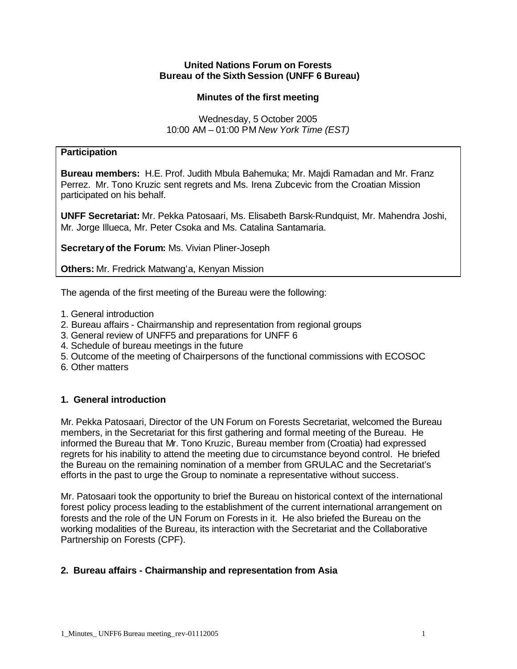#### **United Nations Forum on Forests Bureau of the Sixth Session (UNFF 6 Bureau)**

# **Minutes of the first meeting**

Wednesday, 5 October 2005 10:00 AM – 01:00 PM *New York Time (EST)*

# **Participation**

**Bureau members:** H.E. Prof. Judith Mbula Bahemuka; Mr. Majdi Ramadan and Mr. Franz Perrez. Mr. Tono Kruzic sent regrets and Ms. Irena Zubcevic from the Croatian Mission participated on his behalf.

**UNFF Secretariat:** Mr. Pekka Patosaari, Ms. Elisabeth Barsk-Rundquist, Mr. Mahendra Joshi, Mr. Jorge Illueca, Mr. Peter Csoka and Ms. Catalina Santamaria.

**Secretary of the Forum:** Ms. Vivian Pliner-Joseph

**Others:** Mr. Fredrick Matwang'a, Kenyan Mission

The agenda of the first meeting of the Bureau were the following:

- 1. General introduction
- 2. Bureau affairs Chairmanship and representation from regional groups
- 3. General review of UNFF5 and preparations for UNFF 6
- 4. Schedule of bureau meetings in the future
- 5. Outcome of the meeting of Chairpersons of the functional commissions with ECOSOC
- 6. Other matters

# **1. General introduction**

Mr. Pekka Patosaari, Director of the UN Forum on Forests Secretariat, welcomed the Bureau members, in the Secretariat for this first gathering and formal meeting of the Bureau. He informed the Bureau that Mr. Tono Kruzic, Bureau member from (Croatia) had expressed regrets for his inability to attend the meeting due to circumstance beyond control. He briefed the Bureau on the remaining nomination of a member from GRULAC and the Secretariat's efforts in the past to urge the Group to nominate a representative without success.

Mr. Patosaari took the opportunity to brief the Bureau on historical context of the international forest policy process leading to the establishment of the current international arrangement on forests and the role of the UN Forum on Forests in it. He also briefed the Bureau on the working modalities of the Bureau, its interaction with the Secretariat and the Collaborative Partnership on Forests (CPF).

# **2. Bureau affairs - Chairmanship and representation from Asia**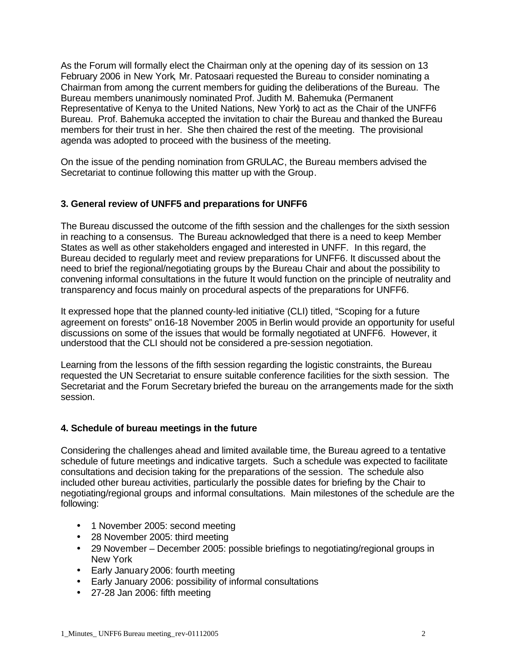As the Forum will formally elect the Chairman only at the opening day of its session on 13 February 2006 in New York, Mr. Patosaari requested the Bureau to consider nominating a Chairman from among the current members for guiding the deliberations of the Bureau. The Bureau members unanimously nominated Prof. Judith M. Bahemuka (Permanent Representative of Kenya to the United Nations, New York) to act as the Chair of the UNFF6 Bureau. Prof. Bahemuka accepted the invitation to chair the Bureau and thanked the Bureau members for their trust in her. She then chaired the rest of the meeting. The provisional agenda was adopted to proceed with the business of the meeting.

On the issue of the pending nomination from GRULAC, the Bureau members advised the Secretariat to continue following this matter up with the Group.

# **3. General review of UNFF5 and preparations for UNFF6**

The Bureau discussed the outcome of the fifth session and the challenges for the sixth session in reaching to a consensus. The Bureau acknowledged that there is a need to keep Member States as well as other stakeholders engaged and interested in UNFF. In this regard, the Bureau decided to regularly meet and review preparations for UNFF6. It discussed about the need to brief the regional/negotiating groups by the Bureau Chair and about the possibility to convening informal consultations in the future It would function on the principle of neutrality and transparency and focus mainly on procedural aspects of the preparations for UNFF6.

It expressed hope that the planned county-led initiative (CLI) titled, "Scoping for a future agreement on forests" on16-18 November 2005 in Berlin would provide an opportunity for useful discussions on some of the issues that would be formally negotiated at UNFF6. However, it understood that the CLI should not be considered a pre-session negotiation.

Learning from the lessons of the fifth session regarding the logistic constraints, the Bureau requested the UN Secretariat to ensure suitable conference facilities for the sixth session. The Secretariat and the Forum Secretary briefed the bureau on the arrangements made for the sixth session.

# **4. Schedule of bureau meetings in the future**

Considering the challenges ahead and limited available time, the Bureau agreed to a tentative schedule of future meetings and indicative targets. Such a schedule was expected to facilitate consultations and decision taking for the preparations of the session. The schedule also included other bureau activities, particularly the possible dates for briefing by the Chair to negotiating/regional groups and informal consultations. Main milestones of the schedule are the following:

- 1 November 2005: second meeting
- 28 November 2005: third meeting
- 29 November December 2005: possible briefings to negotiating/regional groups in New York
- Early January 2006: fourth meeting
- Early January 2006: possibility of informal consultations
- 27-28 Jan 2006: fifth meeting